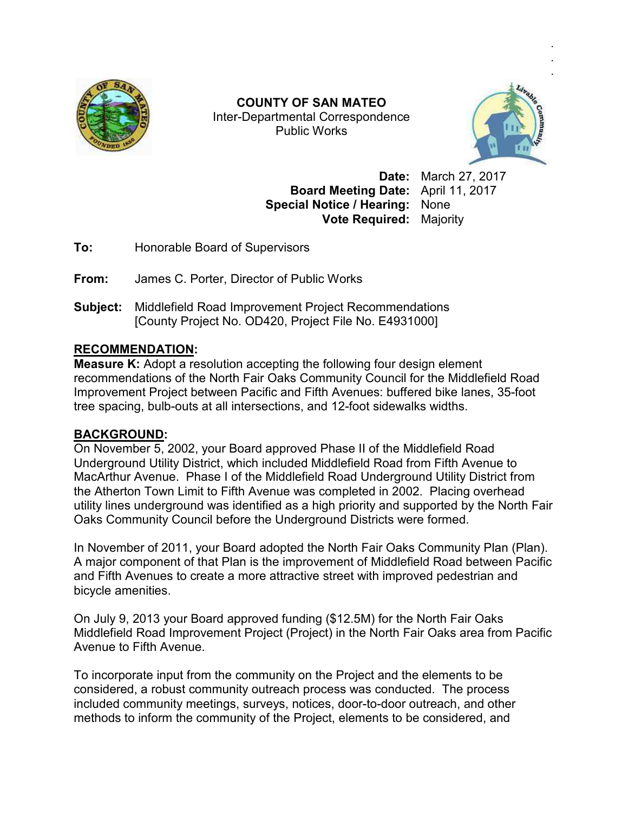

Inter Inter-Departmental Correspondence **COUNTY OF SAN MATEO**  Public Works



. .

**Board Meeting Date:** April 11, 2017 **Special Notice / Hearing:** None **Vote Required:** Majority

**Date:** March 27, 2017

**To:** Honorable Board of Supervisors

**From:** James C. Porter, Director of Public Works

**To:** Honorable Board of Supervisors<br>**From:** James C. Porter, Director of Public Works<br>**Subject:** Middlefield Road Improvement Project Recommendations [County Project No. OD420, Project File No. E4931000]

## **RECOMMENDATION:**

**Measure K:** Adopt a resolution accepting the following four design element recommendations of the North Fair Oaks Community Council for the Middlefield Road Improvement Project between Pacific and Fifth Avenues: buffered bike lanes, tree spacing, bulb-outs at all intersections, and 12-foot sidewalks widths. , 201735-foot

## **BACKGROUND:**

On November 5, 2002, your Board approved Phase II of the Middlefield Road Underground Utility District, which included Middlefield Road from Fifth Avenue to MacArthur Avenue. Phase I of the Middlefield Road Underground Utility District from the Atherton Town Limit to Fifth Avenue was completed in 2002. Placing overhead utility lines underground was identified as a high priority and supported by the North Fair Oaks Community Council before the Underground Districts were formed. MacArthur Avenue. Phase I of the Middlefield Road Underground Utility District from<br>the Atherton Town Limit to Fifth Avenue was completed in 2002. Placing overhead<br>utility lines underground was identified as a high priorit d Middlefield Road from Fifth<br>field Road Underground Utility<br>as completed in 2002. Placin<br>a high priority and supported<br>erground Districts were formed<br>I the North Fair Oaks Commu<br>rovement of Middlefield Road<br>tive street wi

In November of 2011, your Board adopted the North Fair Oaks Community Plan (Plan). A major component of that Plan is the improvement of Middlefield Road between Pacific and Fifth Avenues to create a more attractive street with improved pedestrian and bicycle amenities.

On July 9, 2013 your Board approved funding (\$12.5M) for the North Fair Oaks Middlefield Road Improvement Project (Project) in the North Fair Oaks area from Pacific Avenue to Fifth Avenue. July 9, 2013 your Board approved funding (\$12.5M) for the North Fair Oaks<br>Idlefield Road Improvement Project (Project) in the North Fair Oaks area from<br>Protice to Fifth Avenue.<br>Incorporate input from the community on the P

To incorporate input from the community on the Project and the elements to be considered, a robust community outreach process was conducted. The process considered, a robust community outreach process was conducted. The process<br>included community meetings, surveys, notices, door-to-door outreach, and other methods to inform the community of the Project, elements to be considered, and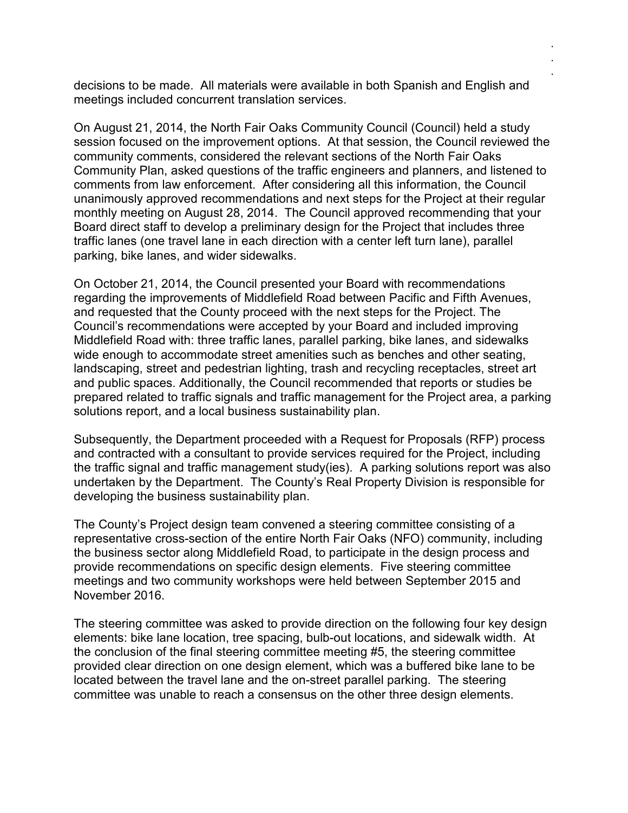decisions to be made. All materials were available in both Spanish and English and meetings included concurrent translation services.

. . .

On August 21, 2014, the North Fair Oaks Community Council (Council) held a study session focused on the improvement options. At that session, the Council reviewed the community comments, considered the relevant sections of the North Fair Oaks Community Plan, asked questions of the traffic engineers and planners, and listened to comments from law enforcement. After considering all this information, the Council unanimously approved recommendations and next steps for the Project at their regular monthly meeting on August 28, 2014. The Council approved recommending that your Board direct staff to develop a preliminary design for the Project that includes three traffic lanes (one travel lane in each direction with a center left turn lane), parallel parking, bike lanes, and wider sidewalks.

On October 21, 2014, the Council presented your Board with recommendations regarding the improvements of Middlefield Road between Pacific and Fifth Avenues, and requested that the County proceed with the next steps for the Project. The Council's recommendations were accepted by your Board and included improving Middlefield Road with: three traffic lanes, parallel parking, bike lanes, and sidewalks wide enough to accommodate street amenities such as benches and other seating, landscaping, street and pedestrian lighting, trash and recycling receptacles, street art and public spaces. Additionally, the Council recommended that reports or studies be prepared related to traffic signals and traffic management for the Project area, a parking solutions report, and a local business sustainability plan.

Subsequently, the Department proceeded with a Request for Proposals (RFP) process and contracted with a consultant to provide services required for the Project, including the traffic signal and traffic management study(ies). A parking solutions report was also undertaken by the Department. The County's Real Property Division is responsible for developing the business sustainability plan.

The County's Project design team convened a steering committee consisting of a representative cross-section of the entire North Fair Oaks (NFO) community, including the business sector along Middlefield Road, to participate in the design process and provide recommendations on specific design elements. Five steering committee meetings and two community workshops were held between September 2015 and November 2016.

The steering committee was asked to provide direction on the following four key design elements: bike lane location, tree spacing, bulb-out locations, and sidewalk width. At the conclusion of the final steering committee meeting #5, the steering committee provided clear direction on one design element, which was a buffered bike lane to be located between the travel lane and the on-street parallel parking. The steering committee was unable to reach a consensus on the other three design elements.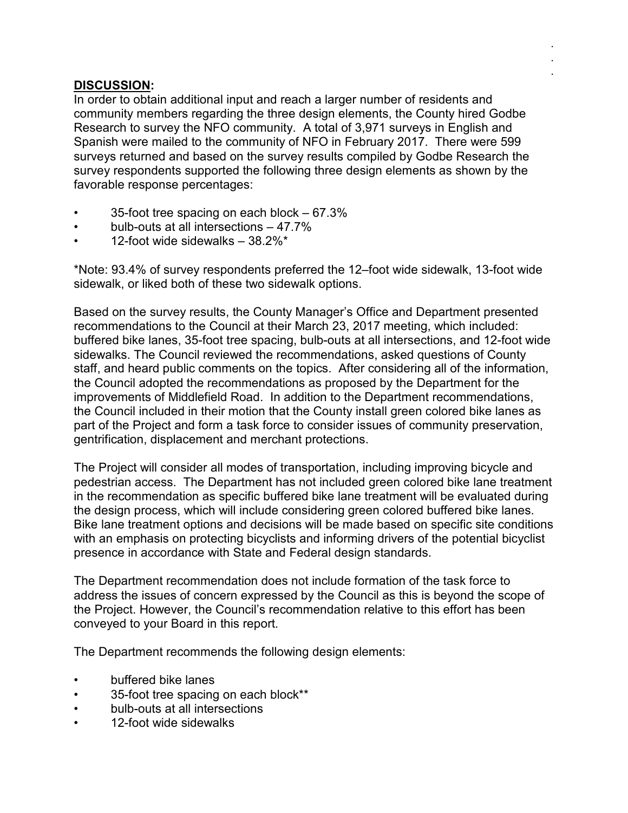## **DISCUSSION:**

In order to obtain additional input and reach a larger number of residents and community members regarding the three design elements, the County hired Godbe Research to survey the NFO community. A total of 3,971 surveys in English and Spanish were mailed to the community of NFO in February 2017. There were 599 surveys returned and based on the survey results compiled by Godbe Research the survey respondents supported the following three design elements as shown by the favorable response percentages:

. . .

- 35-foot tree spacing on each block 67.3%
- bulb-outs at all intersections 47.7%
- 12-foot wide sidewalks 38.2%\*

\*Note: 93.4% of survey respondents preferred the 12–foot wide sidewalk, 13-foot wide sidewalk, or liked both of these two sidewalk options.

Based on the survey results, the County Manager's Office and Department presented recommendations to the Council at their March 23, 2017 meeting, which included: buffered bike lanes, 35-foot tree spacing, bulb-outs at all intersections, and 12-foot wide sidewalks. The Council reviewed the recommendations, asked questions of County staff, and heard public comments on the topics. After considering all of the information, the Council adopted the recommendations as proposed by the Department for the improvements of Middlefield Road. In addition to the Department recommendations, the Council included in their motion that the County install green colored bike lanes as part of the Project and form a task force to consider issues of community preservation, gentrification, displacement and merchant protections.

The Project will consider all modes of transportation, including improving bicycle and pedestrian access. The Department has not included green colored bike lane treatment in the recommendation as specific buffered bike lane treatment will be evaluated during the design process, which will include considering green colored buffered bike lanes. Bike lane treatment options and decisions will be made based on specific site conditions with an emphasis on protecting bicyclists and informing drivers of the potential bicyclist presence in accordance with State and Federal design standards.

The Department recommendation does not include formation of the task force to address the issues of concern expressed by the Council as this is beyond the scope of the Project. However, the Council's recommendation relative to this effort has been conveyed to your Board in this report.

The Department recommends the following design elements:

- buffered bike lanes
- 35-foot tree spacing on each block\*\*
- bulb-outs at all intersections
- 12-foot wide sidewalks